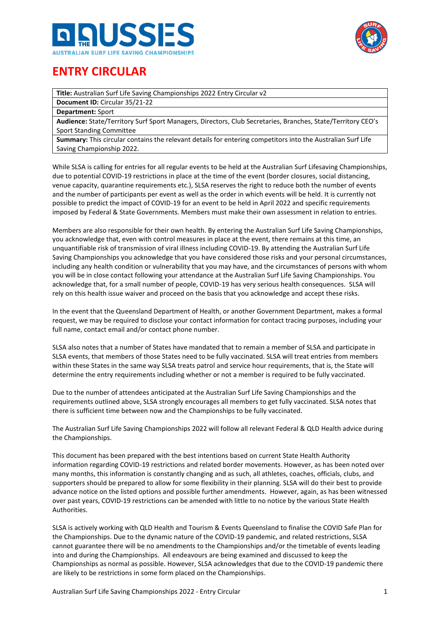



# **ENTRY CIRCULAR**

**Title:** Australian Surf Life Saving Championships 2022 Entry Circular v2

**Document ID:** Circular 35/21-22

**Department:** Sport

**Audience:** State/Territory Surf Sport Managers, Directors, Club Secretaries, Branches, State/Territory CEO's Sport Standing Committee

**Summary:** This circular contains the relevant details for entering competitors into the Australian Surf Life Saving Championship 2022.

While SLSA is calling for entries for all regular events to be held at the Australian Surf Lifesaving Championships, due to potential COVID-19 restrictions in place at the time of the event (border closures, social distancing, venue capacity, quarantine requirements etc.), SLSA reserves the right to reduce both the number of events and the number of participants per event as well as the order in which events will be held. It is currently not possible to predict the impact of COVID-19 for an event to be held in April 2022 and specific requirements imposed by Federal & State Governments. Members must make their own assessment in relation to entries.

Members are also responsible for their own health. By entering the Australian Surf Life Saving Championships, you acknowledge that, even with control measures in place at the event, there remains at this time, an unquantifiable risk of transmission of viral illness including COVID-19. By attending the Australian Surf Life Saving Championships you acknowledge that you have considered those risks and your personal circumstances, including any health condition or vulnerability that you may have, and the circumstances of persons with whom you will be in close contact following your attendance at the Australian Surf Life Saving Championships. You acknowledge that, for a small number of people, COVID-19 has very serious health consequences.  SLSA will rely on this health issue waiver and proceed on the basis that you acknowledge and accept these risks.

In the event that the Queensland Department of Health, or another Government Department, makes a formal request, we may be required to disclose your contact information for contact tracing purposes, including your full name, contact email and/or contact phone number.

SLSA also notes that a number of States have mandated that to remain a member of SLSA and participate in SLSA events, that members of those States need to be fully vaccinated. SLSA will treat entries from members within these States in the same way SLSA treats patrol and service hour requirements, that is, the State will determine the entry requirements including whether or not a member is required to be fully vaccinated.

Due to the number of attendees anticipated at the Australian Surf Life Saving Championships and the requirements outlined above, SLSA strongly encourages all members to get fully vaccinated. SLSA notes that there is sufficient time between now and the Championships to be fully vaccinated.

The Australian Surf Life Saving Championships 2022 will follow all relevant Federal & QLD Health advice during the Championships.

This document has been prepared with the best intentions based on current State Health Authority information regarding COVID-19 restrictions and related border movements. However, as has been noted over many months, this information is constantly changing and as such, all athletes, coaches, officials, clubs, and supporters should be prepared to allow for some flexibility in their planning. SLSA will do their best to provide advance notice on the listed options and possible further amendments. However, again, as has been witnessed over past years, COVID-19 restrictions can be amended with little to no notice by the various State Health Authorities.

SLSA is actively working with QLD Health and Tourism & Events Queensland to finalise the COVID Safe Plan for the Championships. Due to the dynamic nature of the COVID-19 pandemic, and related restrictions, SLSA cannot guarantee there will be no amendments to the Championships and/or the timetable of events leading into and during the Championships. All endeavours are being examined and discussed to keep the Championships as normal as possible. However, SLSA acknowledges that due to the COVID-19 pandemic there are likely to be restrictions in some form placed on the Championships.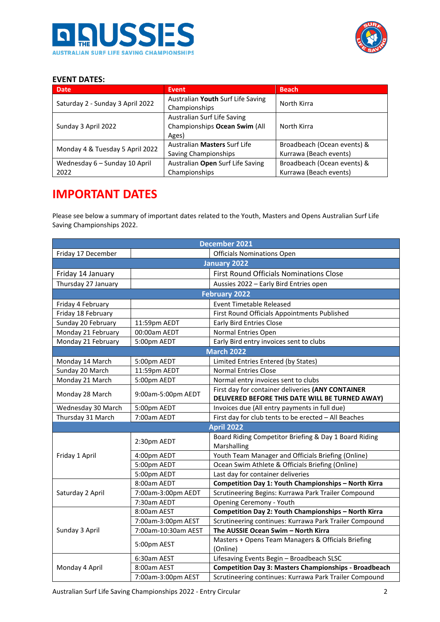



# **EVENT DATES:**

| <b>Date</b>                      | <b>Event</b>                      | <b>Beach</b>                |  |
|----------------------------------|-----------------------------------|-----------------------------|--|
| Saturday 2 - Sunday 3 April 2022 | Australian Youth Surf Life Saving | North Kirra                 |  |
|                                  | Championships                     |                             |  |
|                                  | Australian Surf Life Saving       |                             |  |
| Sunday 3 April 2022              | Championships Ocean Swim (All     | North Kirra                 |  |
|                                  | Ages)                             |                             |  |
| Monday 4 & Tuesday 5 April 2022  | Australian Masters Surf Life      | Broadbeach (Ocean events) & |  |
|                                  | Saving Championships              | Kurrawa (Beach events)      |  |
| Wednesday 6 - Sunday 10 April    | Australian Open Surf Life Saving  | Broadbeach (Ocean events) & |  |
| 2022                             | Championships                     | Kurrawa (Beach events)      |  |

# **IMPORTANT DATES**

Please see below a summary of important dates related to the Youth, Masters and Opens Australian Surf Life Saving Championships 2022.

|                     |                     | <b>December 2021</b>                                         |  |  |  |  |
|---------------------|---------------------|--------------------------------------------------------------|--|--|--|--|
| Friday 17 December  |                     | <b>Officials Nominations Open</b>                            |  |  |  |  |
|                     |                     | <b>January 2022</b>                                          |  |  |  |  |
| Friday 14 January   |                     | <b>First Round Officials Nominations Close</b>               |  |  |  |  |
| Thursday 27 January |                     | Aussies 2022 - Early Bird Entries open                       |  |  |  |  |
|                     |                     | <b>February 2022</b>                                         |  |  |  |  |
| Friday 4 February   |                     | <b>Event Timetable Released</b>                              |  |  |  |  |
| Friday 18 February  |                     | First Round Officials Appointments Published                 |  |  |  |  |
| Sunday 20 February  | 11:59pm AEDT        | <b>Early Bird Entries Close</b>                              |  |  |  |  |
| Monday 21 February  | 00:00am AEDT        | Normal Entries Open                                          |  |  |  |  |
| Monday 21 February  | 5:00pm AEDT         | Early Bird entry invoices sent to clubs                      |  |  |  |  |
|                     |                     | <b>March 2022</b>                                            |  |  |  |  |
| Monday 14 March     | 5:00pm AEDT         | Limited Entries Entered (by States)                          |  |  |  |  |
| Sunday 20 March     | 11:59pm AEDT        | <b>Normal Entries Close</b>                                  |  |  |  |  |
| Monday 21 March     | 5:00pm AEDT         | Normal entry invoices sent to clubs                          |  |  |  |  |
| Monday 28 March     | 9:00am-5:00pm AEDT  | First day for container deliveries (ANY CONTAINER            |  |  |  |  |
|                     |                     | DELIVERED BEFORE THIS DATE WILL BE TURNED AWAY)              |  |  |  |  |
| Wednesday 30 March  | 5:00pm AEDT         | Invoices due (All entry payments in full due)                |  |  |  |  |
| Thursday 31 March   | 7:00am AEDT         | First day for club tents to be erected - All Beaches         |  |  |  |  |
|                     |                     | <b>April 2022</b>                                            |  |  |  |  |
|                     | 2:30pm AEDT         | Board Riding Competitor Briefing & Day 1 Board Riding        |  |  |  |  |
|                     |                     | Marshalling                                                  |  |  |  |  |
| Friday 1 April      | 4:00pm AEDT         | Youth Team Manager and Officials Briefing (Online)           |  |  |  |  |
|                     | 5:00pm AEDT         | Ocean Swim Athlete & Officials Briefing (Online)             |  |  |  |  |
|                     | 5:00pm AEDT         | Last day for container deliveries                            |  |  |  |  |
|                     | 8:00am AEDT         | Competition Day 1: Youth Championships - North Kirra         |  |  |  |  |
| Saturday 2 April    | 7:00am-3:00pm AEDT  | Scrutineering Begins: Kurrawa Park Trailer Compound          |  |  |  |  |
|                     | 7:30am AEDT         | Opening Ceremony - Youth                                     |  |  |  |  |
|                     | 8:00am AEST         | Competition Day 2: Youth Championships - North Kirra         |  |  |  |  |
|                     | 7:00am-3:00pm AEST  | Scrutineering continues: Kurrawa Park Trailer Compound       |  |  |  |  |
| Sunday 3 April      | 7:00am-10:30am AEST | The AUSSIE Ocean Swim - North Kirra                          |  |  |  |  |
|                     | 5:00pm AEST         | Masters + Opens Team Managers & Officials Briefing           |  |  |  |  |
|                     |                     | (Online)                                                     |  |  |  |  |
|                     | 6:30am AEST         | Lifesaving Events Begin - Broadbeach SLSC                    |  |  |  |  |
| Monday 4 April      | 8:00am AEST         | <b>Competition Day 3: Masters Championships - Broadbeach</b> |  |  |  |  |
|                     | 7:00am-3:00pm AEST  | Scrutineering continues: Kurrawa Park Trailer Compound       |  |  |  |  |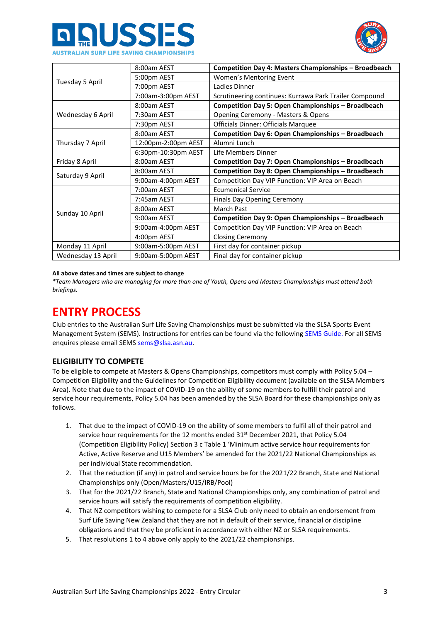



|                    | 8:00am AEST         | Competition Day 4: Masters Championships - Broadbeach     |
|--------------------|---------------------|-----------------------------------------------------------|
| Tuesday 5 April    | 5:00pm AEST         | Women's Mentoring Event                                   |
|                    | 7:00pm AEST         | Ladies Dinner                                             |
|                    | 7:00am-3:00pm AEST  | Scrutineering continues: Kurrawa Park Trailer Compound    |
|                    | 8:00am AEST         | <b>Competition Day 5: Open Championships - Broadbeach</b> |
| Wednesday 6 April  | 7:30am AEST         | Opening Ceremony - Masters & Opens                        |
|                    | 7:30pm AEST         | Officials Dinner: Officials Marquee                       |
|                    | 8:00am AEST         | Competition Day 6: Open Championships - Broadbeach        |
| Thursday 7 April   | 12:00pm-2:00pm AEST | Alumni Lunch                                              |
|                    | 6:30pm-10:30pm AEST | Life Members Dinner                                       |
| Friday 8 April     | 8:00am AEST         | Competition Day 7: Open Championships - Broadbeach        |
|                    | 8:00am AEST         | Competition Day 8: Open Championships - Broadbeach        |
| Saturday 9 April   | 9:00am-4:00pm AEST  | Competition Day VIP Function: VIP Area on Beach           |
|                    | 7:00am AEST         | <b>Ecumenical Service</b>                                 |
|                    | 7:45am AEST         | <b>Finals Day Opening Ceremony</b>                        |
|                    | 8:00am AEST         | March Past                                                |
| Sunday 10 April    | 9:00am AEST         | Competition Day 9: Open Championships - Broadbeach        |
|                    | 9:00am-4:00pm AEST  | Competition Day VIP Function: VIP Area on Beach           |
|                    | 4:00pm AEST         | <b>Closing Ceremony</b>                                   |
| Monday 11 April    | 9:00am-5:00pm AEST  | First day for container pickup                            |
| Wednesday 13 April | 9:00am-5:00pm AEST  | Final day for container pickup                            |

#### **All above dates and times are subject to change**

*\*Team Managers who are managing for more than one of Youth, Opens and Masters Championships must attend both briefings.*

# **ENTRY PROCESS**

Club entries to the Australian Surf Life Saving Championships must be submitted via the SLSA Sports Event Management System (SEMS). Instructions for entries can be found via the followin[g SEMS Guide.](https://www.manula.com/manuals/surf-life-saving-australi/sems-slsa-sports-event-management-system/1/en/topic/overview) For all SEMS enquires please email SEM[S sems@slsa.asn.au.](mailto:sems@slsa.asn.au)

# **ELIGIBILITY TO COMPETE**

To be eligible to compete at Masters & Opens Championships, competitors must comply with Policy 5.04 – Competition Eligibility and the Guidelines for Competition Eligibility document (available on the SLSA Members Area). Note that due to the impact of COVID-19 on the ability of some members to fulfill their patrol and service hour requirements, Policy 5.04 has been amended by the SLSA Board for these championships only as follows.

- 1. That due to the impact of COVID-19 on the ability of some members to fulfil all of their patrol and service hour requirements for the 12 months ended  $31<sup>st</sup>$  December 2021, that Policy 5.04 (Competition Eligibility Policy) Section 3 c Table 1 'Minimum active service hour requirements for Active, Active Reserve and U15 Members' be amended for the 2021/22 National Championships as per individual State recommendation.
- 2. That the reduction (if any) in patrol and service hours be for the 2021/22 Branch, State and National Championships only (Open/Masters/U15/IRB/Pool)
- 3. That for the 2021/22 Branch, State and National Championships only, any combination of patrol and service hours will satisfy the requirements of competition eligibility.
- 4. That NZ competitors wishing to compete for a SLSA Club only need to obtain an endorsement from Surf Life Saving New Zealand that they are not in default of their service, financial or discipline obligations and that they be proficient in accordance with either NZ or SLSA requirements.
- 5. That resolutions 1 to 4 above only apply to the 2021/22 championships.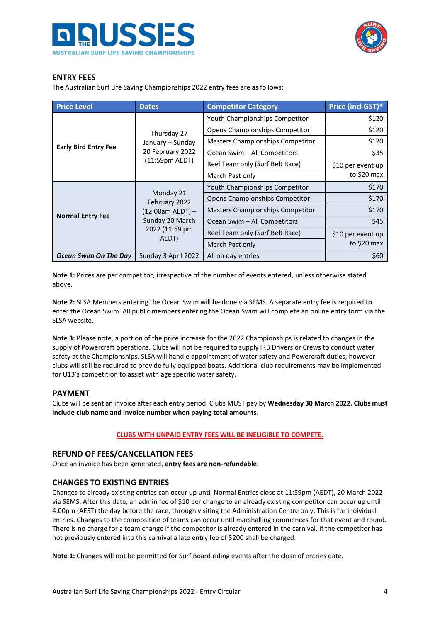



# **ENTRY FEES**

The Australian Surf Life Saving Championships 2022 entry fees are as follows:

| <b>Price Level</b>          | <b>Dates</b>               | <b>Competitor Category</b>              | Price (incl GST)* |  |
|-----------------------------|----------------------------|-----------------------------------------|-------------------|--|
|                             |                            | Youth Championships Competitor          | \$120             |  |
|                             | Thursday 27                | Opens Championships Competitor          | \$120             |  |
|                             | January - Sunday           | <b>Masters Championships Competitor</b> | \$120             |  |
| <b>Early Bird Entry Fee</b> | 20 February 2022           | Ocean Swim - All Competitors            | \$35              |  |
|                             | (11:59pm AEDT)             | Reel Team only (Surf Belt Race)         | \$10 per event up |  |
|                             |                            | March Past only                         | to \$20 max       |  |
|                             |                            | Youth Championships Competitor          | \$170             |  |
|                             | Monday 21<br>February 2022 | Opens Championships Competitor          | \$170             |  |
|                             | $(12:00am AEDT) -$         | <b>Masters Championships Competitor</b> | \$170             |  |
| <b>Normal Entry Fee</b>     | Sunday 20 March            | Ocean Swim - All Competitors            | \$45              |  |
|                             | 2022 (11:59 pm<br>AEDT)    | Reel Team only (Surf Belt Race)         | \$10 per event up |  |
|                             |                            | March Past only                         | to \$20 max       |  |
| Ocean Swim On The Day       | Sunday 3 April 2022        | All on day entries                      | \$60              |  |

**Note 1:** Prices are per competitor, irrespective of the number of events entered, unless otherwise stated above.

**Note 2:** SLSA Members entering the Ocean Swim will be done via SEMS. A separate entry fee is required to enter the Ocean Swim. All public members entering the Ocean Swim will complete an online entry form via the SLSA website.

**Note 3:** Please note, a portion of the price increase for the 2022 Championships is related to changes in the supply of Powercraft operations. Clubs will not be required to supply IRB Drivers or Crews to conduct water safety at the Championships. SLSA will handle appointment of water safety and Powercraft duties, however clubs will still be required to provide fully equipped boats. Additional club requirements may be implemented for U13's competition to assist with age specific water safety.

## **PAYMENT**

Clubs will be sent an invoice after each entry period. Clubs MUST pay by **Wednesday 30 March 2022. Clubs must include club name and invoice number when paying total amounts.**

#### **CLUBS WITH UNPAID ENTRY FEES WILL BE INELIGIBLE TO COMPETE.**

#### **REFUND OF FEES/CANCELLATION FEES**

Once an invoice has been generated, **entry fees are non-refundable.**

## **CHANGES TO EXISTING ENTRIES**

Changes to already existing entries can occur up until Normal Entries close at 11:59pm (AEDT), 20 March 2022 via SEMS. After this date, an admin fee of \$10 per change to an already existing competitor can occur up until 4:00pm (AEST) the day before the race, through visiting the Administration Centre only. This is for individual entries. Changes to the composition of teams can occur until marshalling commences for that event and round. There is no charge for a team change if the competitor is already entered in the carnival. If the competitor has not previously entered into this carnival a late entry fee of \$200 shall be charged.

**Note 1:** Changes will not be permitted for Surf Board riding events after the close of entries date.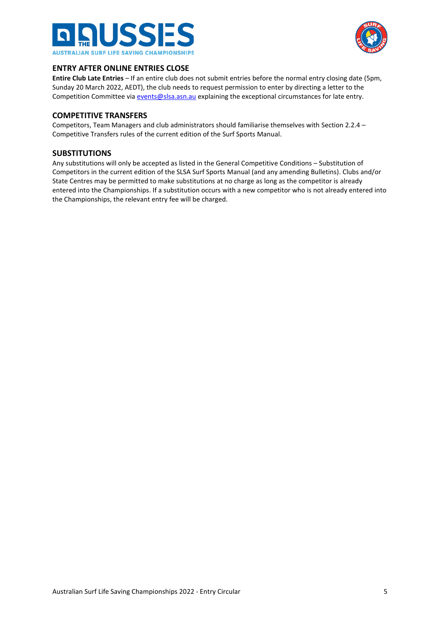



# **ENTRY AFTER ONLINE ENTRIES CLOSE**

**Entire Club Late Entries** – If an entire club does not submit entries before the normal entry closing date (5pm, Sunday 20 March 2022, AEDT), the club needs to request permission to enter by directing a letter to the Competition Committee vi[a events@slsa.asn.au](mailto:events@slsa.asn.au) explaining the exceptional circumstances for late entry.

#### **COMPETITIVE TRANSFERS**

Competitors, Team Managers and club administrators should familiarise themselves with Section 2.2.4 – Competitive Transfers rules of the current edition of the Surf Sports Manual.

## **SUBSTITUTIONS**

Any substitutions will only be accepted as listed in the General Competitive Conditions – Substitution of Competitors in the current edition of the SLSA Surf Sports Manual (and any amending Bulletins). Clubs and/or State Centres may be permitted to make substitutions at no charge as long as the competitor is already entered into the Championships. If a substitution occurs with a new competitor who is not already entered into the Championships, the relevant entry fee will be charged.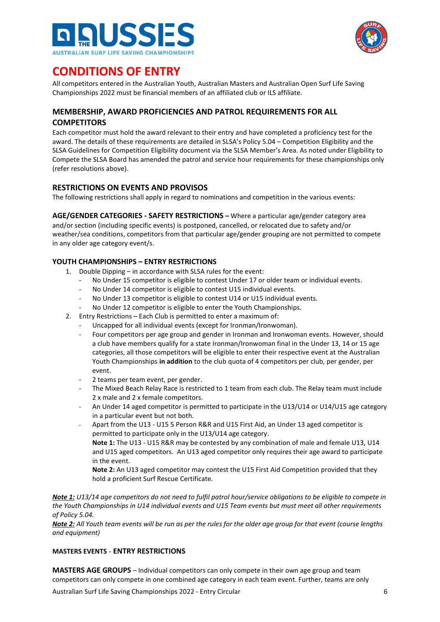



# **CONDITIONS OF ENTRY**

All competitors entered in the Australian Youth, Australian Masters and Australian Open Surf Life Saving Championships 2022 must be financial members of an affiliated club or ILS affiliate.

# **MEMBERSHIP, AWARD PROFICIENCIES AND PATROL REQUIREMENTS FOR ALL COMPETITORS**

Each competitor must hold the award relevant to their entry and have completed a proficiency test for the award. The details of these requirements are detailed in SLSA's Policy 5.04 – Competition Eligibility and the SLSA Guidelines for Competition Eligibility document via the SLSA Member's Area. As noted under Eligibility to Compete the SLSA Board has amended the patrol and service hour requirements for these championships only (refer resolutions above).

# **RESTRICTIONS ON EVENTS AND PROVISOS**

The following restrictions shall apply in regard to nominations and competition in the various events:

**AGE/GENDER CATEGORIES - SAFETY RESTRICTIONS –** Where a particular age/gender category area and/or section (including specific events) is postponed, cancelled, or relocated due to safety and/or weather/sea conditions, competitors from that particular age/gender grouping are not permitted to compete in any older age category event/s.

# **YOUTH CHAMPIONSHIPS – ENTRY RESTRICTIONS**

- 1. Double Dipping in accordance with SLSA rules for the event:
	- No Under 15 competitor is eligible to contest Under 17 or older team or individual events.
	- No Under 14 competitor is eligible to contest U15 individual events.
	- No Under 13 competitor is eligible to contest U14 or U15 individual events.
	- No Under 12 competitor is eligible to enter the Youth Championships.
- 2. Entry Restrictions Each Club is permitted to enter a maximum of:
	- Uncapped for all individual events (except for Ironman/Ironwoman).
	- Four competitors per age group and gender in Ironman and Ironwoman events. However, should a club have members qualify for a state Ironman/Ironwoman final in the Under 13, 14 or 15 age categories, all those competitors will be eligible to enter their respective event at the Australian Youth Championships **in addition** to the club quota of 4 competitors per club, per gender, per event.
	- 2 teams per team event, per gender.
	- The Mixed Beach Relay Race is restricted to 1 team from each club. The Relay team must include 2 x male and 2 x female competitors.
	- An Under 14 aged competitor is permitted to participate in the U13/U14 or U14/U15 age category in a particular event but not both.
	- Apart from the U13 U15 5 Person R&R and U15 First Aid, an Under 13 aged competitor is permitted to participate only in the U13/U14 age category.

**Note 1:** The U13 - U15 R&R may be contested by any combination of male and female U13, U14 and U15 aged competitors. An U13 aged competitor only requires their age award to participate in the event.

**Note 2:** An U13 aged competitor may contest the U15 First Aid Competition provided that they hold a proficient Surf Rescue Certificate.

*Note 1: U13/14 age competitors do not need to fulfil patrol hour/service obligations to be eligible to compete in the Youth Championships in U14 individual events and U15 Team events but must meet all other requirements of Policy 5.04.*

*Note 2: All Youth team events will be run as per the rules for the older age group for that event (course lengths and equipment)*

## **MASTERS EVENTS** - **ENTRY RESTRICTIONS**

**MASTERS AGE GROUPS** – Individual competitors can only compete in their own age group and team competitors can only compete in one combined age category in each team event. Further, teams are only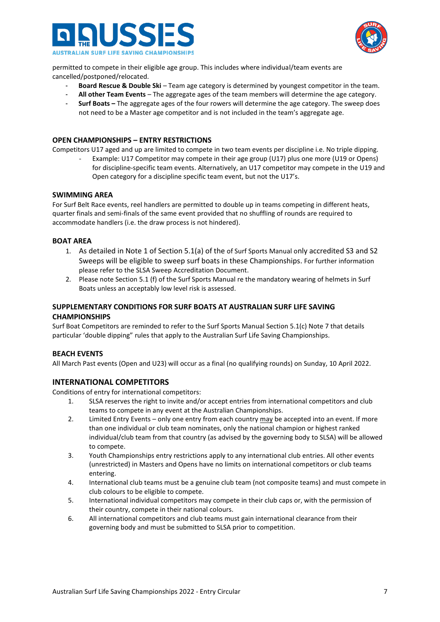



permitted to compete in their eligible age group. This includes where individual/team events are cancelled/postponed/relocated.

- **Board Rescue & Double Ski** Team age category is determined by youngest competitor in the team.
- **All other Team Events** The aggregate ages of the team members will determine the age category.
- **Surf Boats –** The aggregate ages of the four rowers will determine the age category. The sweep does not need to be a Master age competitor and is not included in the team's aggregate age.

#### **OPEN CHAMPIONSHIPS – ENTRY RESTRICTIONS**

Competitors U17 aged and up are limited to compete in two team events per discipline i.e. No triple dipping.

Example: U17 Competitor may compete in their age group (U17) plus one more (U19 or Opens) for discipline-specific team events. Alternatively, an U17 competitor may compete in the U19 and Open category for a discipline specific team event, but not the U17's.

#### **SWIMMING AREA**

For Surf Belt Race events, reel handlers are permitted to double up in teams competing in different heats, quarter finals and semi-finals of the same event provided that no shuffling of rounds are required to accommodate handlers (i.e. the draw process is not hindered).

#### **BOAT AREA**

- 1. As detailed in Note 1 of Section 5.1(a) of the of Surf Sports Manual only accredited S3 and S2 Sweeps will be eligible to sweep surf boats in these Championships. For further information please refer to the SLSA Sweep Accreditation Document.
- 2. Please note Section 5.1 (f) of the Surf Sports Manual re the mandatory wearing of helmets in Surf Boats unless an acceptably low level risk is assessed.

## **SUPPLEMENTARY CONDITIONS FOR SURF BOATS AT AUSTRALIAN SURF LIFE SAVING CHAMPIONSHIPS**

Surf Boat Competitors are reminded to refer to the Surf Sports Manual Section 5.1(c) Note 7 that details particular 'double dipping" rules that apply to the Australian Surf Life Saving Championships.

#### **BEACH EVENTS**

All March Past events (Open and U23) will occur as a final (no qualifying rounds) on Sunday, 10 April 2022.

## **INTERNATIONAL COMPETITORS**

Conditions of entry for international competitors:

- 1. SLSA reserves the right to invite and/or accept entries from international competitors and club teams to compete in any event at the Australian Championships.
- 2. Limited Entry Events only one entry from each country may be accepted into an event. If more than one individual or club team nominates, only the national champion or highest ranked individual/club team from that country (as advised by the governing body to SLSA) will be allowed to compete.
- 3. Youth Championships entry restrictions apply to any international club entries. All other events (unrestricted) in Masters and Opens have no limits on international competitors or club teams entering.
- 4. International club teams must be a genuine club team (not composite teams) and must compete in club colours to be eligible to compete.
- 5. International individual competitors may compete in their club caps or, with the permission of their country, compete in their national colours.
- 6. All international competitors and club teams must gain international clearance from their governing body and must be submitted to SLSA prior to competition.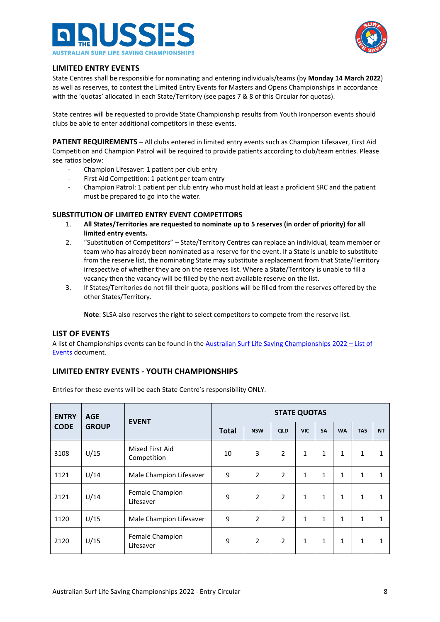



# **LIMITED ENTRY EVENTS**

State Centres shall be responsible for nominating and entering individuals/teams (by **Monday 14 March 2022**) as well as reserves, to contest the Limited Entry Events for Masters and Opens Championships in accordance with the 'quotas' allocated in each State/Territory (see pages 7 & 8 of this Circular for quotas).

State centres will be requested to provide State Championship results from Youth Ironperson events should clubs be able to enter additional competitors in these events.

**PATIENT REQUIREMENTS** – All clubs entered in limited entry events such as Champion Lifesaver, First Aid Competition and Champion Patrol will be required to provide patients according to club/team entries. Please see ratios below:

- Champion Lifesaver: 1 patient per club entry
- First Aid Competition: 1 patient per team entry
- Champion Patrol: 1 patient per club entry who must hold at least a proficient SRC and the patient must be prepared to go into the water.

## **SUBSTITUTION OF LIMITED ENTRY EVENT COMPETITORS**

- 1. **All States/Territories are requested to nominate up to 5 reserves (in order of priority) for all limited entry events.**
- 2. "Substitution of Competitors" State/Territory Centres can replace an individual, team member or team who has already been nominated as a reserve for the event. If a State is unable to substitute from the reserve list, the nominating State may substitute a replacement from that State/Territory irrespective of whether they are on the reserves list. Where a State/Territory is unable to fill a vacancy then the vacancy will be filled by the next available reserve on the list.
- 3. If States/Territories do not fill their quota, positions will be filled from the reserves offered by the other States/Territory.

**Note**: SLSA also reserves the right to select competitors to compete from the reserve list.

## **LIST OF EVENTS**

A list of Championships events can be found in the [Australian Surf Life Saving Championships 2022](https://sls.com.au/wp-content/uploads/2022/01/Australian-Surf-Life-Saving-Championships-2022-List-of-Events.pdf) – List of [Events](https://sls.com.au/wp-content/uploads/2022/01/Australian-Surf-Life-Saving-Championships-2022-List-of-Events.pdf) document.

# **LIMITED ENTRY EVENTS - YOUTH CHAMPIONSHIPS**

Entries for these events will be each State Centre's responsibility ONLY.

| <b>ENTRY</b> | <b>AGE</b>   | <b>EVENT</b>                   | <b>STATE QUOTAS</b> |                |                |            |              |           |              |              |
|--------------|--------------|--------------------------------|---------------------|----------------|----------------|------------|--------------|-----------|--------------|--------------|
| <b>CODE</b>  | <b>GROUP</b> |                                | <b>Total</b>        | <b>NSW</b>     | QLD            | <b>VIC</b> | <b>SA</b>    | <b>WA</b> | <b>TAS</b>   | <b>NT</b>    |
| 3108         | U/15         | Mixed First Aid<br>Competition | 10                  | 3              | $\overline{2}$ | 1          | 1            | 1         | 1            | 1            |
| 1121         | U/14         | Male Champion Lifesaver        | 9                   | $\overline{2}$ | $\overline{2}$ | 1          | 1            | 1         | $\mathbf{1}$ | $\mathbf{1}$ |
| 2121         | U/14         | Female Champion<br>Lifesaver   | 9                   | $\overline{2}$ | $\overline{2}$ | 1          | $\mathbf{1}$ | 1         | $\mathbf{1}$ | $\mathbf{1}$ |
| 1120         | U/15         | Male Champion Lifesaver        | 9                   | $\overline{2}$ | $\overline{2}$ | 1          | 1            | 1         | $\mathbf{1}$ | $\mathbf{1}$ |
| 2120         | U/15         | Female Champion<br>Lifesaver   | 9                   | $\overline{2}$ | $\overline{2}$ | 1          | 1            | 1         | $\mathbf{1}$ | 1            |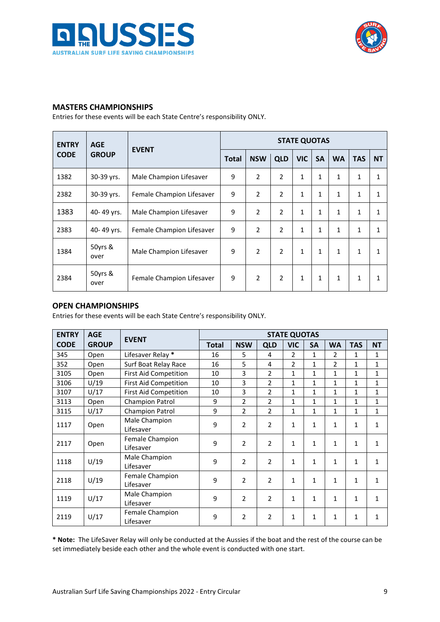



# **MASTERS CHAMPIONSHIPS**

Entries for these events will be each State Centre's responsibility ONLY.

| <b>ENTRY</b> | <b>AGE</b>      | <b>EVENT</b>              | <b>STATE QUOTAS</b> |                |                |              |              |              |              |              |
|--------------|-----------------|---------------------------|---------------------|----------------|----------------|--------------|--------------|--------------|--------------|--------------|
| <b>CODE</b>  | <b>GROUP</b>    |                           | <b>Total</b>        | <b>NSW</b>     | <b>QLD</b>     | <b>VIC</b>   | <b>SA</b>    | <b>WA</b>    | <b>TAS</b>   | <b>NT</b>    |
| 1382         | 30-39 yrs.      | Male Champion Lifesaver   | 9                   | $\overline{2}$ | $\overline{2}$ | $\mathbf{1}$ | $\mathbf{1}$ | 1            | $\mathbf{1}$ | 1            |
| 2382         | 30-39 yrs.      | Female Champion Lifesaver | 9                   | $\overline{2}$ | $\overline{2}$ | $\mathbf{1}$ | $\mathbf{1}$ | 1            | $\mathbf{1}$ | 1            |
| 1383         | 40-49 yrs.      | Male Champion Lifesaver   | 9                   | $\overline{2}$ | $\overline{2}$ | $\mathbf{1}$ | $\mathbf{1}$ | 1            | $\mathbf{1}$ | $\mathbf{1}$ |
| 2383         | 40-49 yrs.      | Female Champion Lifesaver | 9                   | $\overline{2}$ | $\overline{2}$ | $\mathbf{1}$ | $\mathbf{1}$ | $\mathbf{1}$ | 1            | $\mathbf{1}$ |
| 1384         | 50yrs &<br>over | Male Champion Lifesaver   | 9                   | $\overline{2}$ | $\overline{2}$ | $\mathbf{1}$ | $\mathbf{1}$ | 1            | $\mathbf{1}$ | 1            |
| 2384         | 50yrs &<br>over | Female Champion Lifesaver | 9                   | $\overline{2}$ | $\overline{2}$ | 1            | 1            | 1            | $\mathbf{1}$ | 1            |

# **OPEN CHAMPIONSHIPS**

Entries for these events will be each State Centre's responsibility ONLY.

| <b>ENTRY</b> | <b>AGE</b>   | <b>EVENT</b>                 | <b>STATE QUOTAS</b> |                |                |                |              |                |              |              |  |
|--------------|--------------|------------------------------|---------------------|----------------|----------------|----------------|--------------|----------------|--------------|--------------|--|
| <b>CODE</b>  | <b>GROUP</b> |                              | <b>Total</b>        | <b>NSW</b>     | <b>QLD</b>     | <b>VIC</b>     | <b>SA</b>    | <b>WA</b>      | <b>TAS</b>   | <b>NT</b>    |  |
| 345          | Open         | Lifesaver Relay *            | 16                  | 5              | 4              | $\overline{2}$ | 1            | 2              | 1            | $\mathbf{1}$ |  |
| 352          | Open         | Surf Boat Relay Race         | 16                  | 5              | 4              | $\mathfrak{p}$ | $\mathbf{1}$ | $\mathfrak{p}$ | $\mathbf{1}$ | $\mathbf{1}$ |  |
| 3105         | Open         | <b>First Aid Competition</b> | 10                  | 3              | $\overline{2}$ | 1              | 1            | 1              | 1            | $\mathbf{1}$ |  |
| 3106         | U/19         | <b>First Aid Competition</b> | 10                  | 3              | $\overline{2}$ | 1              | 1            | 1              | $\mathbf{1}$ | $\mathbf{1}$ |  |
| 3107         | U/17         | <b>First Aid Competition</b> | 10                  | 3              | 2              | 1              | 1            | 1              | 1            | $\mathbf{1}$ |  |
| 3113         | Open         | Champion Patrol              | 9                   | $\overline{2}$ | $\overline{2}$ | 1              | $\mathbf{1}$ | $\mathbf{1}$   | $\mathbf{1}$ | $\mathbf{1}$ |  |
| 3115         | U/17         | Champion Patrol              | 9                   | $\mathcal{P}$  | $\overline{2}$ | 1              | 1            | 1              | $\mathbf{1}$ | $\mathbf{1}$ |  |
| 1117         |              | Male Champion                | 9                   | $\overline{2}$ | $\overline{2}$ | $\mathbf{1}$   | $\mathbf{1}$ | 1              | $\mathbf{1}$ | $\mathbf{1}$ |  |
|              | Open         | Lifesaver                    |                     |                |                |                |              |                |              |              |  |
| 2117         | Open         | Female Champion              | 9                   | $\overline{2}$ | $\overline{2}$ | $\mathbf{1}$   | 1            | 1              | $\mathbf{1}$ | $\mathbf{1}$ |  |
|              |              | Lifesaver                    |                     |                |                |                |              |                |              |              |  |
| 1118         | U/19         | Male Champion                | 9                   | $\mathcal{P}$  | $\overline{2}$ | 1              | $\mathbf{1}$ | 1              | 1            | $\mathbf{1}$ |  |
|              |              | Lifesaver                    |                     |                |                |                |              |                |              |              |  |
| 2118         | U/19         | Female Champion              | 9                   | $\mathcal{P}$  | $\overline{2}$ | $\mathbf{1}$   | 1            | 1              | $\mathbf{1}$ | 1            |  |
|              |              | Lifesaver                    |                     |                |                |                |              |                |              |              |  |
| 1119         | U/17         | Male Champion                | 9                   | $\mathcal{P}$  | $\overline{2}$ | $\mathbf{1}$   | $\mathbf{1}$ | 1              | $\mathbf{1}$ | $\mathbf{1}$ |  |
|              |              | Lifesaver                    |                     |                |                |                |              |                |              |              |  |
| 2119         | U/17         | Female Champion              | 9                   | $\overline{2}$ | $\overline{2}$ | 1              | 1            | 1              | 1            | $\mathbf{1}$ |  |
|              |              | Lifesaver                    |                     |                |                |                |              |                |              |              |  |

**\* Note:** The LifeSaver Relay will only be conducted at the Aussies if the boat and the rest of the course can be set immediately beside each other and the whole event is conducted with one start.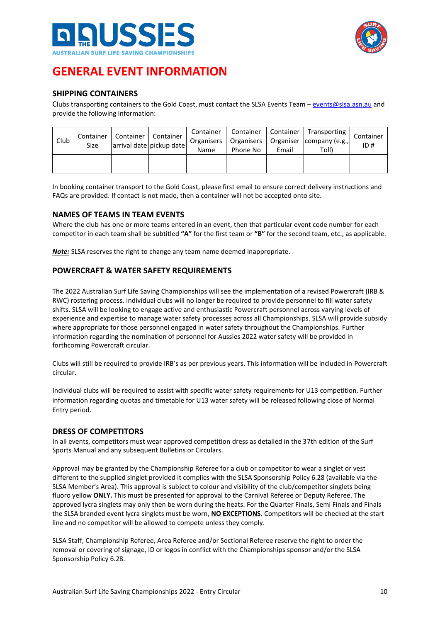



# **GENERAL EVENT INFORMATION**

# **SHIPPING CONTAINERS**

Clubs transporting containers to the Gold Coast, must contact the SLSA Events Team - [events@slsa.asn.au](mailto:events@slsa.asn.au) and provide the following information:

| Club | Container<br>Size | Container   Container | arrival date pickup date | Container<br>Name | Organisers   Organisers  <br>Phone No | Email | Container   Container   Transporting  <br>Organiser company (e.g.,<br>Toll) | Container<br>ID# |
|------|-------------------|-----------------------|--------------------------|-------------------|---------------------------------------|-------|-----------------------------------------------------------------------------|------------------|
|      |                   |                       |                          |                   |                                       |       |                                                                             |                  |

In booking container transport to the Gold Coast, please first email to ensure correct delivery instructions and FAQs are provided. If contact is not made, then a container will not be accepted onto site.

## **NAMES OF TEAMS IN TEAM EVENTS**

Where the club has one or more teams entered in an event, then that particular event code number for each competitor in each team shall be subtitled **"A"** for the first team or **"B"** for the second team, etc., as applicable.

*Note:* SLSA reserves the right to change any team name deemed inappropriate.

# **POWERCRAFT & WATER SAFETY REQUIREMENTS**

The 2022 Australian Surf Life Saving Championships will see the implementation of a revised Powercraft (IRB & RWC) rostering process. Individual clubs will no longer be required to provide personnel to fill water safety shifts. SLSA will be looking to engage active and enthusiastic Powercraft personnel across varying levels of experience and expertise to manage water safety processes across all Championships. SLSA will provide subsidy where appropriate for those personnel engaged in water safety throughout the Championships. Further information regarding the nomination of personnel for Aussies 2022 water safety will be provided in forthcoming Powercraft circular.

Clubs will still be required to provide IRB's as per previous years. This information will be included in Powercraft circular.

Individual clubs will be required to assist with specific water safety requirements for U13 competition. Further information regarding quotas and timetable for U13 water safety will be released following close of Normal Entry period.

## **DRESS OF COMPETITORS**

In all events, competitors must wear approved competition dress as detailed in the 37th edition of the Surf Sports Manual and any subsequent Bulletins or Circulars.

Approval may be granted by the Championship Referee for a club or competitor to wear a singlet or vest different to the supplied singlet provided it complies with the SLSA Sponsorship Policy 6.28 (available via the SLSA Member's Area). This approval is subject to colour and visibility of the club/competitor singlets being fluoro yellow **ONLY.** This must be presented for approval to the Carnival Referee or Deputy Referee. The approved lycra singlets may only then be worn during the heats. For the Quarter Finals, Semi Finals and Finals the SLSA branded event lycra singlets must be worn, **NO EXCEPTIONS**. Competitors will be checked at the start line and no competitor will be allowed to compete unless they comply.

SLSA Staff, Championship Referee, Area Referee and/or Sectional Referee reserve the right to order the removal or covering of signage, ID or logos in conflict with the Championships sponsor and/or the SLSA Sponsorship Policy 6.28.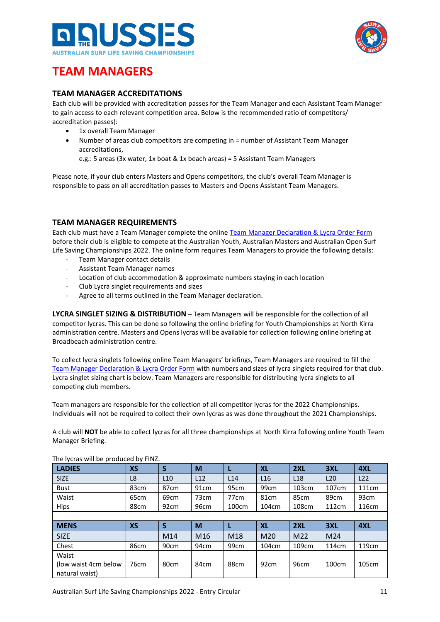



# **TEAM MANAGERS**

# **TEAM MANAGER ACCREDITATIONS**

Each club will be provided with accreditation passes for the Team Manager and each Assistant Team Manager to gain access to each relevant competition area. Below is the recommended ratio of competitors/ accreditation passes):

- 1x overall Team Manager
- Number of areas club competitors are competing in = number of Assistant Team Manager accreditations,

e.g.: 5 areas (3x water, 1x boat & 1x beach areas) = 5 Assistant Team Managers

Please note, if your club enters Masters and Opens competitors, the club's overall Team Manager is responsible to pass on all accreditation passes to Masters and Opens Assistant Team Managers.

# **TEAM MANAGER REQUIREMENTS**

Each club must have a Team Manager complete the online [Team Manager Declaration & Lycra Order Form](https://sls.com.au/aussies/team-manager-form/) before their club is eligible to compete at the Australian Youth, Australian Masters and Australian Open Surf Life Saving Championships 2022. The online form requires Team Managers to provide the following details:

- Team Manager contact details
- Assistant Team Manager names
- Location of club accommodation & approximate numbers staying in each location
- Club Lycra singlet requirements and sizes
- Agree to all terms outlined in the Team Manager declaration.

**LYCRA SINGLET SIZING & DISTRIBUTION** – Team Managers will be responsible for the collection of all competitor lycras. This can be done so following the online briefing for Youth Championships at North Kirra administration centre. Masters and Opens lycras will be available for collection following online briefing at Broadbeach administration centre.

To collect lycra singlets following online Team Managers' briefings, Team Managers are required to fill the [Team Manager Declaration & Lycra Order Form](https://sls.com.au/aussies/team-manager-form/) with numbers and sizes of lycra singlets required for that club. Lycra singlet sizing chart is below. Team Managers are responsible for distributing lycra singlets to all competing club members.

Team managers are responsible for the collection of all competitor lycras for the 2022 Championships. Individuals will not be required to collect their own lycras as was done throughout the 2021 Championships.

A club will **NOT** be able to collect lycras for all three championships at North Kirra following online Youth Team Manager Briefing.

| <b>LADIES</b> | XS               | S                | M                | L                | <b>XL</b>        | 2XL             | 3XL             | 4XL               |
|---------------|------------------|------------------|------------------|------------------|------------------|-----------------|-----------------|-------------------|
| <b>SIZE</b>   | L8               | L10              | L12              | L14              | L <sub>16</sub>  | L <sub>18</sub> | L <sub>20</sub> | L22               |
| <b>Bust</b>   | 83 <sub>cm</sub> | 87 <sub>cm</sub> | 91 <sub>cm</sub> | 95cm             | 99 <sub>cm</sub> | 103cm           | 107cm           | 111 <sub>cm</sub> |
| Waist         | 65cm             | 69 <sub>cm</sub> | 73 <sub>cm</sub> | 77 <sub>cm</sub> | 81 <sub>cm</sub> | 85cm            | 89cm            | 93 <sub>cm</sub>  |
| Hips          | 88cm             | 92cm             | 96cm             | 100cm            | 104cm            | 108cm           | 112cm           | 116cm             |
|               |                  |                  |                  |                  |                  |                 |                 |                   |
|               |                  |                  |                  |                  |                  |                 |                 |                   |
| <b>MENS</b>   | <b>XS</b>        | S                | M                |                  | <b>XL</b>        | 2XL             | 3XL             | 4XL               |
| <b>SIZE</b>   |                  | M14              | M <sub>16</sub>  | M <sub>18</sub>  | M20              | M <sub>22</sub> | M24             |                   |
| Chest         | 86cm             | 90cm             | 94cm             | 99 <sub>cm</sub> | 104cm            | 109cm           | 114cm           | 119 <sub>cm</sub> |
| Waist         |                  |                  |                  |                  |                  |                 |                 |                   |

The lycras will be produced by FINZ.